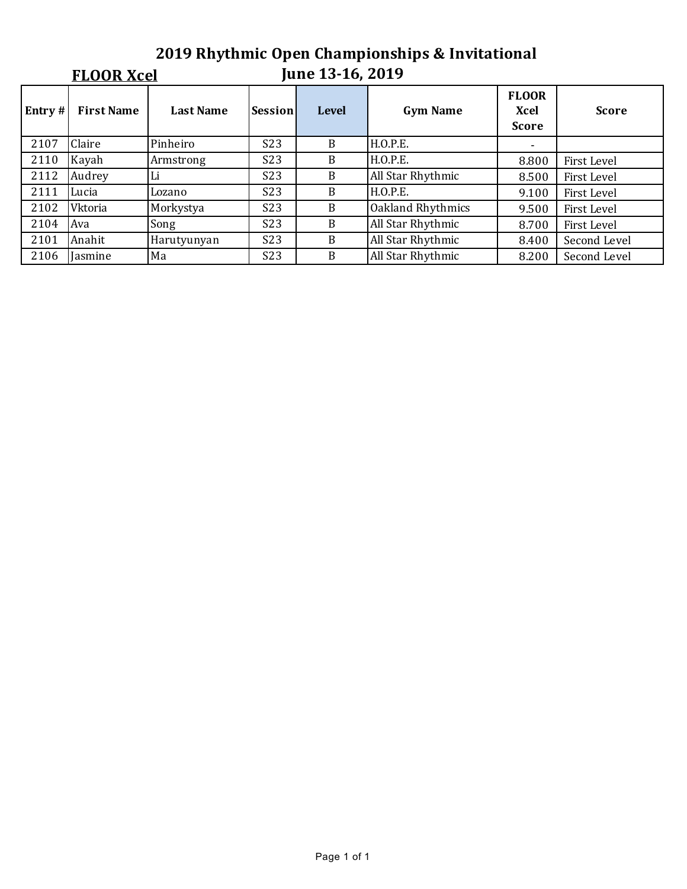# **2019 Rhythmic Open Championships & Invitational**

### **FLOOR Xcel**

## **June 13-16, 2019**

| Entry $#$ | <b>First Name</b> | <b>Last Name</b> | Session          | <b>Level</b> | <b>Gym Name</b>   | <b>FLOOR</b><br>Xcel<br><b>Score</b> | <b>Score</b> |
|-----------|-------------------|------------------|------------------|--------------|-------------------|--------------------------------------|--------------|
| 2107      | Claire            | Pinheiro         | S <sub>2</sub> 3 | B            | H.O.P.E.          | ۰.                                   |              |
| 2110      | Kayah             | Armstrong        | <b>S23</b>       | B            | H.O.P.E.          | 8.800                                | First Level  |
| 2112      | Audrey            | Li               | S23              | B            | All Star Rhythmic | 8.500                                | First Level  |
| 2111      | Lucia             | Lozano           | S <sub>2</sub> 3 | B            | H.O.P.E.          | 9.100                                | First Level  |
| 2102      | Vktoria           | Morkystya        | S <sub>2</sub> 3 | B            | Oakland Rhythmics | 9.500                                | First Level  |
| 2104      | Ava               | Song             | S23              | B            | All Star Rhythmic | 8.700                                | First Level  |
| 2101      | Anahit            | Harutyunyan      | S <sub>2</sub> 3 | B            | All Star Rhythmic | 8.400                                | Second Level |
| 2106      | Jasmine           | Ma               | S23              | B            | All Star Rhythmic | 8.200                                | Second Level |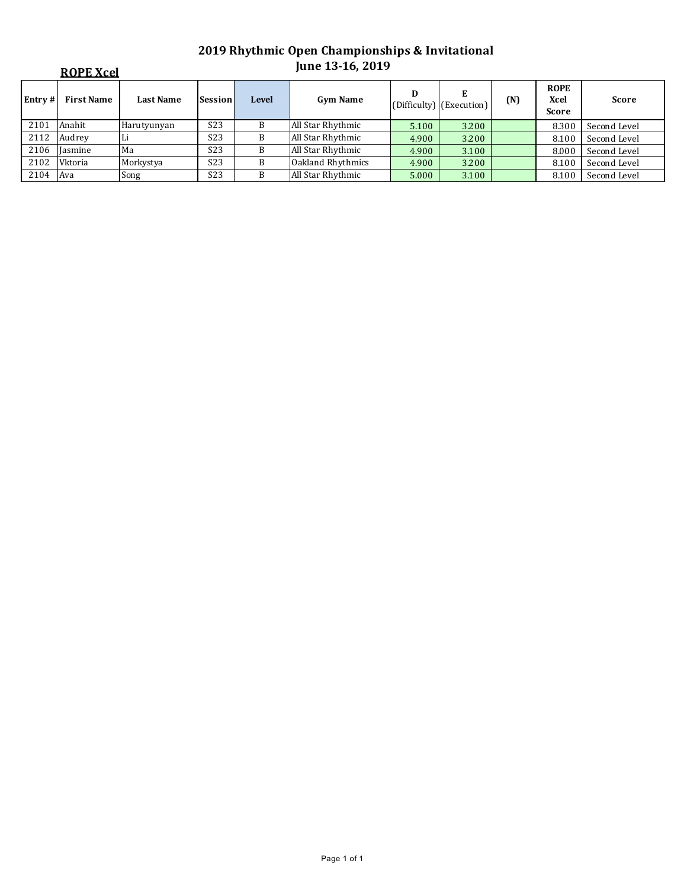|         | <b>ROPE Xcel</b>  |                  |                  |              | June 13-16, 2019  |       |                               |     |                                     |              |
|---------|-------------------|------------------|------------------|--------------|-------------------|-------|-------------------------------|-----|-------------------------------------|--------------|
| Entry # | <b>First Name</b> | <b>Last Name</b> | Session          | <b>Level</b> | <b>Gym Name</b>   | D     | E<br>(Difficulty) (Execution) | (N) | <b>ROPE</b><br>Xcel<br><b>Score</b> | <b>Score</b> |
| 2101    | Anahit            | Harutyunyan      | S <sub>2</sub> 3 | B            | All Star Rhythmic | 5.100 | 3.200                         |     | 8.300                               | Second Level |
| 2112    | Audrey            |                  | S <sub>2</sub> 3 | B            | All Star Rhythmic | 4.900 | 3.200                         |     | 8.100                               | Second Level |
| 2106    | Iasmine           | Ma               | S <sub>2</sub> 3 | B            | All Star Rhythmic | 4.900 | 3.100                         |     | 8.000                               | Second Level |
| 2102    | Vktoria           | Morkystya        | S <sub>2</sub> 3 | B            | Oakland Rhythmics | 4.900 | 3.200                         |     | 8.100                               | Second Level |
| 2104    | Ava               | Song             | S <sub>2</sub> 3 | B            | All Star Rhythmic | 5.000 | 3.100                         |     | 8.100                               | Second Level |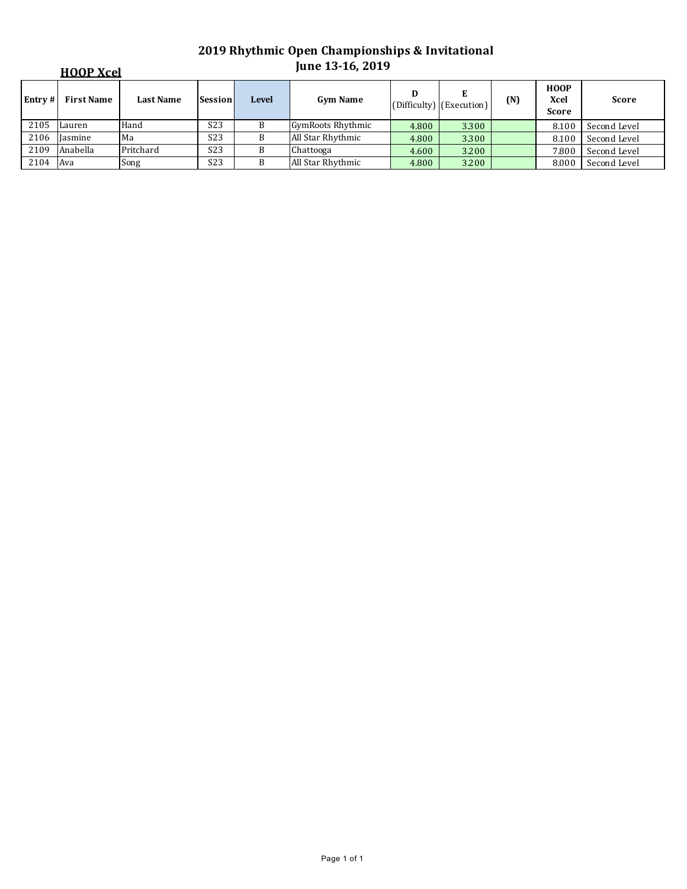|         | <b>HOOP Xcel</b> |                  |                  |       | June 13-16, 2019  |       |                               |     |                                     |              |
|---------|------------------|------------------|------------------|-------|-------------------|-------|-------------------------------|-----|-------------------------------------|--------------|
| Entry # | First Name       | <b>Last Name</b> | <b>Session</b>   | Level | <b>Gym Name</b>   | D     | E<br>(Difficulty) (Execution) | (N) | <b>HOOP</b><br>Xcel<br><b>Score</b> | <b>Score</b> |
| 2105    | Lauren           | Hand             | S <sub>2</sub> 3 |       | GymRoots Rhythmic | 4.800 | 3.300                         |     | 8.100                               | Second Level |
| 2106    | Iasmine          | Ma               | S <sub>2</sub> 3 | В     | All Star Rhythmic | 4.800 | 3.300                         |     | 8.100                               | Second Level |
| 2109    | Anabella         | Pritchard        | S <sub>2</sub> 3 | В     | Chattooga         | 4.600 | 3.200                         |     | 7.800                               | Second Level |
| 2104    | Ava              | Song             | S <sub>2</sub> 3 | B     | All Star Rhythmic | 4.800 | 3.200                         |     | 8.000                               | Second Level |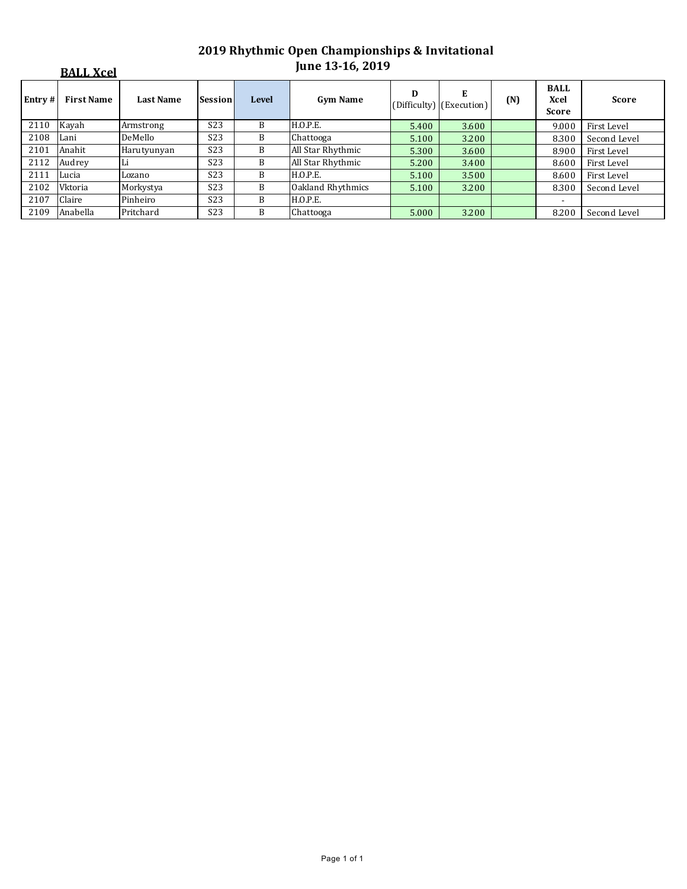|        | <b>BALL Xcel</b>  |                  |                  |              | <b>June 13-16, 2019</b> |       |                               |     |                                     |              |
|--------|-------------------|------------------|------------------|--------------|-------------------------|-------|-------------------------------|-----|-------------------------------------|--------------|
| Entry# | <b>First Name</b> | <b>Last Name</b> | <b>Session</b>   | <b>Level</b> | <b>Gym Name</b>         | D     | E<br>(Difficulty) (Execution) | (N) | <b>BALL</b><br>Xcel<br><b>Score</b> | <b>Score</b> |
| 2110   | Kayah             | Armstrong        | S <sub>2</sub> 3 | B            | H.O.P.E.                | 5.400 | 3.600                         |     | 9.000                               | First Level  |
| 2108   | Lani              | DeMello          | S <sub>2</sub> 3 | B            | Chattooga               | 5.100 | 3.200                         |     | 8.300                               | Second Level |
| 2101   | Anahit            | Harutyunyan      | S <sub>2</sub> 3 | B            | All Star Rhythmic       | 5.300 | 3.600                         |     | 8.900                               | First Level  |
| 2112   | Audrey            |                  | S <sub>2</sub> 3 | B            | All Star Rhythmic       | 5.200 | 3.400                         |     | 8.600                               | First Level  |
| 2111   | Lucia             | Lozano           | S <sub>2</sub> 3 | B            | H.O.P.E.                | 5.100 | 3.500                         |     | 8.600                               | First Level  |
| 2102   | Vktoria           | Morkystya        | S <sub>2</sub> 3 | B            | Oakland Rhythmics       | 5.100 | 3.200                         |     | 8.300                               | Second Level |
| 2107   | Claire            | Pinheiro         | S <sub>2</sub> 3 | B            | H.O.P.E.                |       |                               |     |                                     |              |
| 2109   | Anabella          | Pritchard        | S <sub>2</sub> 3 | B            | Chattooga               | 5.000 | 3.200                         |     | 8.200                               | Second Level |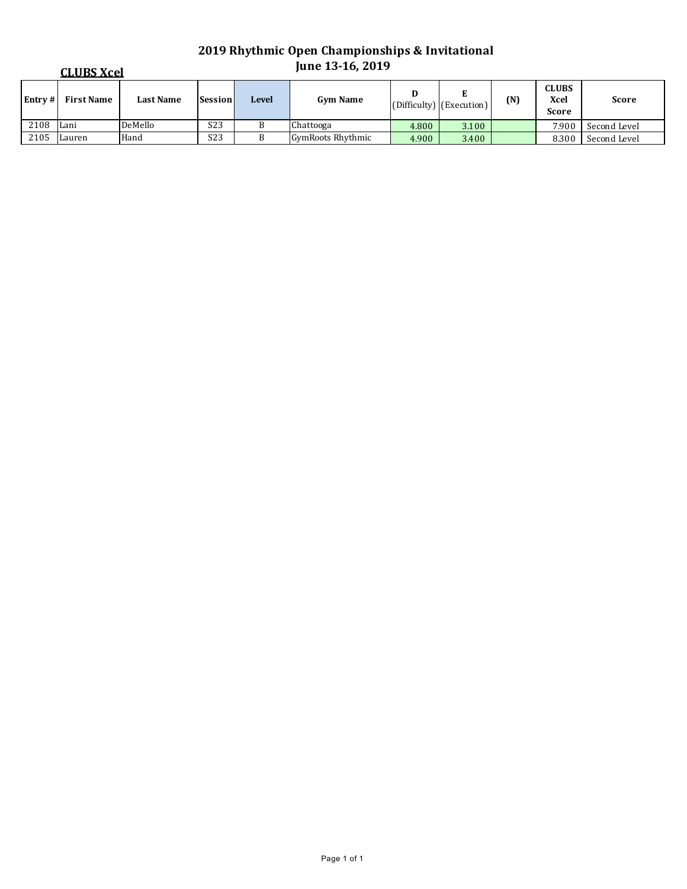|         | <b>CLUBS Xcel</b> |                  |                  |              | <b>June 13-16, 2019</b>  |       |                               |     |                                      |              |  |
|---------|-------------------|------------------|------------------|--------------|--------------------------|-------|-------------------------------|-----|--------------------------------------|--------------|--|
| Entry # | First Name        | <b>Last Name</b> | <b>Session</b>   | <b>Level</b> | <b>Gym Name</b>          |       | Ľ<br>(Difficulty) (Execution) | (N) | <b>CLUBS</b><br>Xcel<br><b>Score</b> | <b>Score</b> |  |
| 2108    | Lani              | DeMello          | S <sub>2</sub> 3 |              | Chattooga                | 4.800 | 3.100                         |     | 7.900                                | Second Level |  |
| 2105    | Lauren            | Hand             | S <sub>2</sub> 3 |              | <b>GymRoots Rhythmic</b> | 4.900 | 3.400                         |     | 8.300                                | Second Level |  |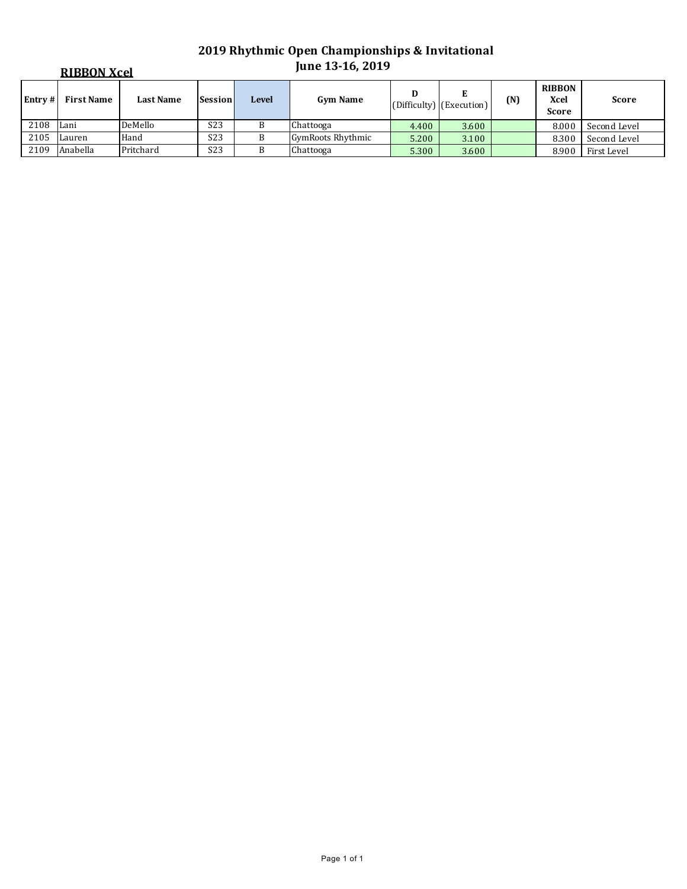| <b>RIBBON Xcel</b> |                   |                  |                  |       | <b>June 13-16, 2019</b> |       |                          |     |                                       |              |
|--------------------|-------------------|------------------|------------------|-------|-------------------------|-------|--------------------------|-----|---------------------------------------|--------------|
| Entry #            | <b>First Name</b> | <b>Last Name</b> | <b>Session</b>   | Level | <b>Gym Name</b>         | D     | (Difficulty) (Execution) | (N) | <b>RIBBON</b><br>Xcel<br><b>Score</b> | <b>Score</b> |
| 2108               | Lani              | DeMello          | S <sub>2</sub> 3 | B     | Chattooga               | 4.400 | 3.600                    |     | 8.000                                 | Second Level |
| 2105               | Lauren            | Hand             | S <sub>2</sub> 3 |       | GymRoots Rhythmic       | 5.200 | 3.100                    |     | 8.300                                 | Second Level |
| 2109               | Anabella          | Pritchard        | S <sub>2</sub> 3 |       | Chattooga               | 5.300 | 3.600                    |     | 8.900                                 | First Level  |